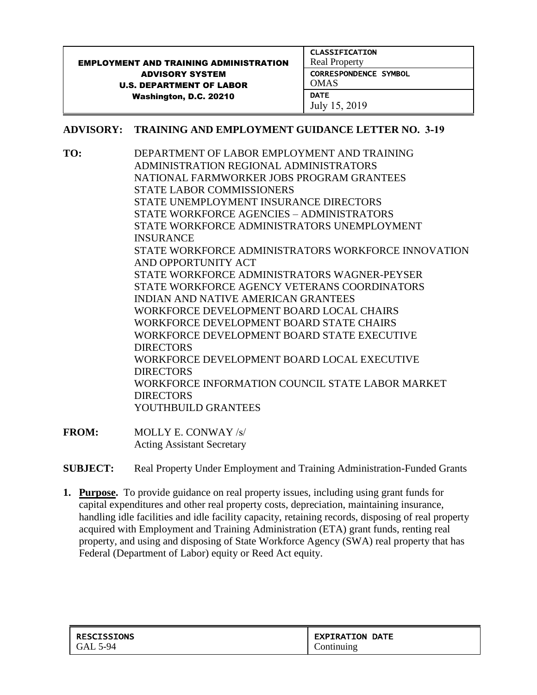|                                               | <b>CLASSIFICATION</b>        |
|-----------------------------------------------|------------------------------|
| <b>EMPLOYMENT AND TRAINING ADMINISTRATION</b> | <b>Real Property</b>         |
| <b>ADVISORY SYSTEM</b>                        | <b>CORRESPONDENCE SYMBOL</b> |
| <b>U.S. DEPARTMENT OF LABOR</b>               | <b>OMAS</b>                  |
| Washington, D.C. 20210                        | <b>DATE</b>                  |
|                                               | July 15, 2019                |

### **ADVISORY: TRAINING AND EMPLOYMENT GUIDANCE LETTER NO. 3-19**

**TO:** DEPARTMENT OF LABOR EMPLOYMENT AND TRAINING ADMINISTRATION REGIONAL ADMINISTRATORS NATIONAL FARMWORKER JOBS PROGRAM GRANTEES STATE LABOR COMMISSIONERS STATE UNEMPLOYMENT INSURANCE DIRECTORS STATE WORKFORCE AGENCIES – ADMINISTRATORS STATE WORKFORCE ADMINISTRATORS UNEMPLOYMENT **INSURANCE** STATE WORKFORCE ADMINISTRATORS WORKFORCE INNOVATION AND OPPORTUNITY ACT STATE WORKFORCE ADMINISTRATORS WAGNER-PEYSER STATE WORKFORCE AGENCY VETERANS COORDINATORS INDIAN AND NATIVE AMERICAN GRANTEES WORKFORCE DEVELOPMENT BOARD LOCAL CHAIRS WORKFORCE DEVELOPMENT BOARD STATE CHAIRS WORKFORCE DEVELOPMENT BOARD STATE EXECUTIVE DIRECTORS WORKFORCE DEVELOPMENT BOARD LOCAL EXECUTIVE DIRECTORS WORKFORCE INFORMATION COUNCIL STATE LABOR MARKET DIRECTORS YOUTHBUILD GRANTEES

- **FROM:** MOLLY E. CONWAY /s/ Acting Assistant Secretary
- **SUBJECT:** Real Property Under Employment and Training Administration-Funded Grants
- **1. Purpose.** To provide guidance on real property issues, including using grant funds for capital expenditures and other real property costs, depreciation, maintaining insurance, handling idle facilities and idle facility capacity, retaining records, disposing of real property acquired with Employment and Training Administration (ETA) grant funds, renting real property, and using and disposing of State Workforce Agency (SWA) real property that has Federal (Department of Labor) equity or Reed Act equity.

| <b>RESCISSIONS</b> | <b>  EXPIRATION DATE</b> |
|--------------------|--------------------------|
| GAL 5-94           | Continuing               |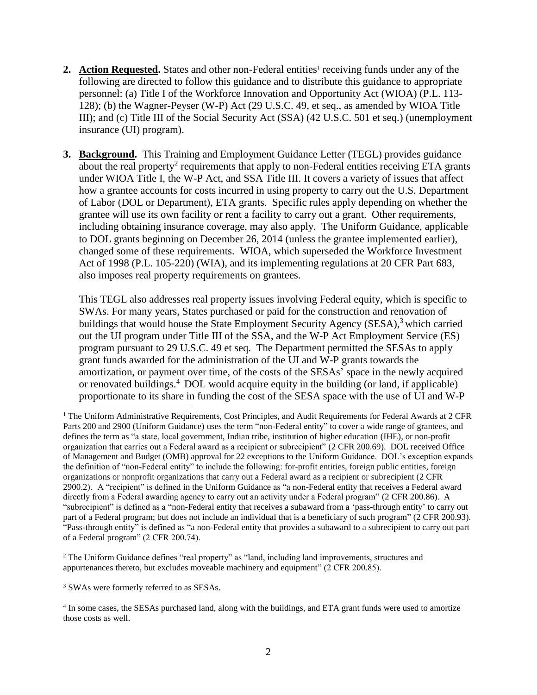- 2. Action Requested. States and other non-Federal entities<sup>1</sup> receiving funds under any of the following are directed to follow this guidance and to distribute this guidance to appropriate personnel: (a) Title I of the Workforce Innovation and Opportunity Act (WIOA) (P.L. 113- 128); (b) the Wagner-Peyser (W-P) Act (29 U.S.C. 49, et seq., as amended by WIOA Title III); and (c) Title III of the Social Security Act (SSA) (42 U.S.C. 501 et seq.) (unemployment insurance (UI) program).
- **3. Background.** This Training and Employment Guidance Letter (TEGL) provides guidance about the real property<sup>2</sup> requirements that apply to non-Federal entities receiving ETA grants under WIOA Title I, the W-P Act, and SSA Title III. It covers a variety of issues that affect how a grantee accounts for costs incurred in using property to carry out the U.S. Department of Labor (DOL or Department), ETA grants. Specific rules apply depending on whether the grantee will use its own facility or rent a facility to carry out a grant. Other requirements, including obtaining insurance coverage, may also apply. The Uniform Guidance, applicable to DOL grants beginning on December 26, 2014 (unless the grantee implemented earlier), changed some of these requirements. WIOA, which superseded the Workforce Investment Act of 1998 (P.L. 105-220) (WIA), and its implementing regulations at 20 CFR Part 683, also imposes real property requirements on grantees.

This TEGL also addresses real property issues involving Federal equity, which is specific to SWAs. For many years, States purchased or paid for the construction and renovation of buildings that would house the State Employment Security Agency (SESA),<sup>3</sup> which carried out the UI program under Title III of the SSA, and the W-P Act Employment Service (ES) program pursuant to 29 U.S.C. 49 et seq. The Department permitted the SESAs to apply grant funds awarded for the administration of the UI and W-P grants towards the amortization, or payment over time, of the costs of the SESAs' space in the newly acquired or renovated buildings.<sup>4</sup> DOL would acquire equity in the building (or land, if applicable) proportionate to its share in funding the cost of the SESA space with the use of UI and W-P

<sup>3</sup> SWAs were formerly referred to as SESAs.

÷,

<sup>&</sup>lt;sup>1</sup> The Uniform Administrative Requirements, Cost Principles, and Audit Requirements for Federal Awards at 2 CFR Parts 200 and 2900 (Uniform Guidance) uses the term "non-Federal entity" to cover a wide range of grantees, and defines the term as "a state, local government, Indian tribe, institution of higher education (IHE), or non-profit organization that carries out a Federal award as a recipient or subrecipient" (2 CFR 200.69). DOL received Office of Management and Budget (OMB) approval for 22 exceptions to the Uniform Guidance. DOL's exception expands the definition of "non-Federal entity" to include the following: for-profit entities, foreign public entities, foreign organizations or nonprofit organizations that carry out a Federal award as a recipient or subrecipient [\(2 CFR](https://1.next.westlaw.com/Link/Document/FullText?findType=L&pubNum=1000547&cite=2CFRS200.69&originatingDoc=N4ED116E08CC111E4B8EBEDB720749533&refType=VP&originationContext=document&transitionType=DocumentItem&contextData=(sc.UserEnteredCitation))  [2900.2\)](https://1.next.westlaw.com/Link/Document/FullText?findType=L&pubNum=1000547&cite=2CFRS200.69&originatingDoc=N4ED116E08CC111E4B8EBEDB720749533&refType=VP&originationContext=document&transitionType=DocumentItem&contextData=(sc.UserEnteredCitation)). A "recipient" is defined in the Uniform Guidance as "a non-Federal entity that receives a Federal award directly from a Federal awarding agency to carry out an activity under a Federal program" (2 CFR 200.86). A "subrecipient" is defined as a "non-Federal entity that receives a subaward from a 'pass-through entity' to carry out part of a Federal program; but does not include an individual that is a beneficiary of such program" (2 CFR 200.93). "Pass-through entity" is defined as "a non-Federal entity that provides a subaward to a subrecipient to carry out part of a Federal program" (2 CFR 200.74).

<sup>2</sup> The Uniform Guidance defines "real property" as "land, including land improvements, structures and appurtenances thereto, but excludes moveable machinery and equipment" (2 CFR 200.85).

<sup>&</sup>lt;sup>4</sup> In some cases, the SESAs purchased land, along with the buildings, and ETA grant funds were used to amortize those costs as well.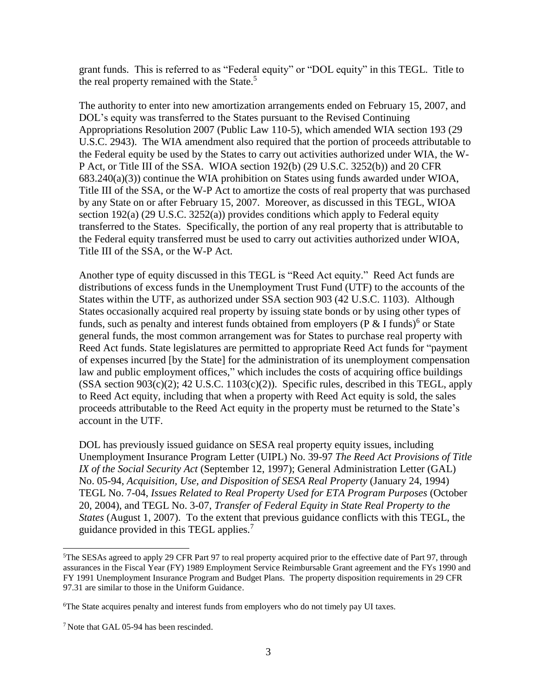grant funds. This is referred to as "Federal equity" or "DOL equity" in this TEGL. Title to the real property remained with the State.<sup>5</sup>

The authority to enter into new amortization arrangements ended on February 15, 2007, and DOL's equity was transferred to the States pursuant to the Revised Continuing Appropriations Resolution 2007 (Public Law 110-5), which amended WIA section 193 (29 U.S.C. 2943). The WIA amendment also required that the portion of proceeds attributable to the Federal equity be used by the States to carry out activities authorized under WIA, the W-P Act, or Title III of the SSA. WIOA section 192(b) (29 U.S.C. 3252(b)) and 20 CFR 683.240(a)(3)) continue the WIA prohibition on States using funds awarded under WIOA, Title III of the SSA, or the W-P Act to amortize the costs of real property that was purchased by any State on or after February 15, 2007. Moreover, as discussed in this TEGL, WIOA section 192(a) (29 U.S.C. 3252(a)) provides conditions which apply to Federal equity transferred to the States. Specifically, the portion of any real property that is attributable to the Federal equity transferred must be used to carry out activities authorized under WIOA, Title III of the SSA, or the W-P Act.

Another type of equity discussed in this TEGL is "Reed Act equity." Reed Act funds are distributions of excess funds in the Unemployment Trust Fund (UTF) to the accounts of the States within the UTF, as authorized under SSA section 903 (42 U.S.C. 1103). Although States occasionally acquired real property by issuing state bonds or by using other types of funds, such as penalty and interest funds obtained from employers ( $P \& I$  funds)<sup>6</sup> or State general funds, the most common arrangement was for States to purchase real property with Reed Act funds. State legislatures are permitted to appropriate Reed Act funds for "payment of expenses incurred [by the State] for the administration of its unemployment compensation law and public employment offices," which includes the costs of acquiring office buildings  $(SSA section 903(c)(2); 42 U.S.C. 1103(c)(2)).$  Specific rules, described in this TEGL, apply to Reed Act equity, including that when a property with Reed Act equity is sold, the sales proceeds attributable to the Reed Act equity in the property must be returned to the State's account in the UTF.

DOL has previously issued guidance on SESA real property equity issues, including Unemployment Insurance Program Letter (UIPL) No. 39-97 *The Reed Act Provisions of Title IX of the Social Security Act* (September 12, 1997); General Administration Letter (GAL) No. 05-94, *Acquisition, Use, and Disposition of SESA Real Property* (January 24, 1994) TEGL No. 7-04, *Issues Related to Real Property Used for ETA Program Purposes* (October 20, 2004), and TEGL No. 3-07, *Transfer of Federal Equity in State Real Property to the States* (August 1, 2007). To the extent that previous guidance conflicts with this TEGL, the guidance provided in this TEGL applies.<sup>7</sup>

<sup>5</sup>The SESAs agreed to apply 29 CFR Part 97 to real property acquired prior to the effective date of Part 97, through assurances in the Fiscal Year (FY) 1989 Employment Service Reimbursable Grant agreement and the FYs 1990 and FY 1991 Unemployment Insurance Program and Budget Plans. The property disposition requirements in 29 CFR 97.31 are similar to those in the Uniform Guidance.

<sup>6</sup>The State acquires penalty and interest funds from employers who do not timely pay UI taxes.

<sup>7</sup> Note that GAL 05-94 has been rescinded.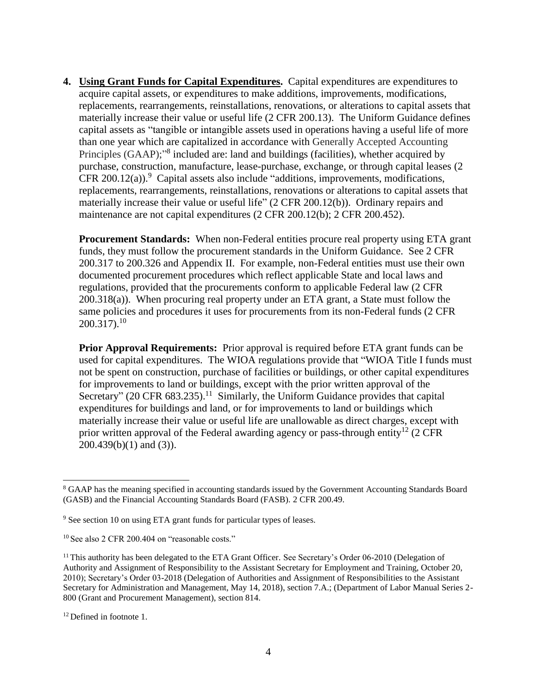**4. Using Grant Funds for Capital Expenditures.** Capital expenditures are expenditures to acquire capital assets, or expenditures to make additions, improvements, modifications, replacements, rearrangements, reinstallations, renovations, or alterations to capital assets that materially increase their value or useful life (2 CFR 200.13). The Uniform Guidance defines capital assets as "tangible or intangible assets used in operations having a useful life of more than one year which are capitalized in accordance with Generally Accepted Accounting Principles (GAAP);"<sup>8</sup> included are: land and buildings (facilities), whether acquired by purchase, construction, manufacture, lease-purchase, exchange, or through capital leases (2 CFR 200.12(a)). $9$  Capital assets also include "additions, improvements, modifications, replacements, rearrangements, reinstallations, renovations or alterations to capital assets that materially increase their value or useful life" (2 CFR 200.12(b)). Ordinary repairs and maintenance are not capital expenditures (2 CFR 200.12(b); 2 CFR 200.452).

**Procurement Standards:** When non-Federal entities procure real property using ETA grant funds, they must follow the procurement standards in the Uniform Guidance. See 2 CFR 200.317 to 200.326 and Appendix II. For example, non-Federal entities must use their own documented procurement procedures which reflect applicable State and local laws and regulations, provided that the procurements conform to applicable Federal law (2 CFR 200.318(a)). When procuring real property under an ETA grant, a State must follow the same policies and procedures it uses for procurements from its non-Federal funds (2 CFR  $200.317$ ).<sup>10</sup>

**Prior Approval Requirements:** Prior approval is required before ETA grant funds can be used for capital expenditures. The WIOA regulations provide that "WIOA Title I funds must not be spent on construction, purchase of facilities or buildings, or other capital expenditures for improvements to land or buildings, except with the prior written approval of the Secretary" (20 CFR  $683.235$ ).<sup>11</sup> Similarly, the Uniform Guidance provides that capital expenditures for buildings and land, or for improvements to land or buildings which materially increase their value or useful life are unallowable as direct charges, except with prior written approval of the Federal awarding agency or pass-through entity<sup>12</sup> (2 CFR 200.439(b)(1) and (3)).

<sup>8</sup> GAAP has the meaning specified in accounting standards issued by the Government Accounting Standards Board (GASB) and the Financial Accounting Standards Board (FASB). 2 CFR 200.49.

<sup>&</sup>lt;sup>9</sup> See section 10 on using ETA grant funds for particular types of leases.

<sup>&</sup>lt;sup>10</sup> See also 2 CFR 200.404 on "reasonable costs."

<sup>&</sup>lt;sup>11</sup> This authority has been delegated to the ETA Grant Officer. See Secretary's Order 06-2010 (Delegation of Authority and Assignment of Responsibility to the Assistant Secretary for Employment and Training, October 20, 2010); Secretary's Order 03-2018 (Delegation of Authorities and Assignment of Responsibilities to the Assistant Secretary for Administration and Management, May 14, 2018), section 7.A.; (Department of Labor Manual Series 2- 800 (Grant and Procurement Management), section 814.

<sup>&</sup>lt;sup>12</sup> Defined in footnote 1.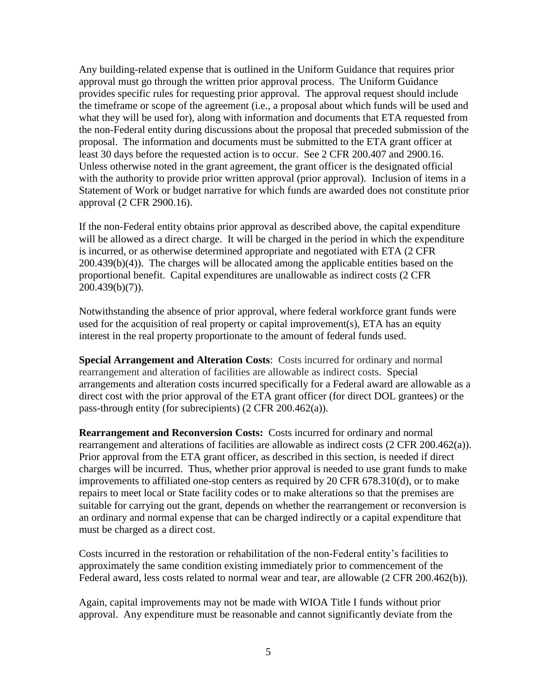Any building-related expense that is outlined in the Uniform Guidance that requires prior approval must go through the written prior approval process. The Uniform Guidance provides specific rules for requesting prior approval. The approval request should include the timeframe or scope of the agreement (i.e., a proposal about which funds will be used and what they will be used for), along with information and documents that ETA requested from the non-Federal entity during discussions about the proposal that preceded submission of the proposal. The information and documents must be submitted to the ETA grant officer at least 30 days before the requested action is to occur. See 2 CFR 200.407 and 2900.16. Unless otherwise noted in the grant agreement, the grant officer is the designated official with the authority to provide prior written approval (prior approval). Inclusion of items in a Statement of Work or budget narrative for which funds are awarded does not constitute prior approval (2 CFR 2900.16).

If the non-Federal entity obtains prior approval as described above, the capital expenditure will be allowed as a direct charge. It will be charged in the period in which the expenditure is incurred, or as otherwise determined appropriate and negotiated with ETA (2 CFR 200.439(b)(4)). The charges will be allocated among the applicable entities based on the proportional benefit. Capital expenditures are unallowable as indirect costs (2 CFR 200.439(b)(7)).

Notwithstanding the absence of prior approval, where federal workforce grant funds were used for the acquisition of real property or capital improvement(s), ETA has an equity interest in the real property proportionate to the amount of federal funds used.

**Special Arrangement and Alteration Costs**: Costs incurred for ordinary and normal rearrangement and alteration of facilities are allowable as indirect costs. Special arrangements and alteration costs incurred specifically for a Federal award are allowable as a direct cost with the prior approval of the ETA grant officer (for direct DOL grantees) or the pass-through entity (for subrecipients) (2 CFR 200.462(a)).

**Rearrangement and Reconversion Costs:** Costs incurred for ordinary and normal rearrangement and alterations of facilities are allowable as indirect costs (2 CFR 200.462(a)). Prior approval from the ETA grant officer, as described in this section, is needed if direct charges will be incurred. Thus, whether prior approval is needed to use grant funds to make improvements to affiliated one-stop centers as required by 20 CFR 678.310(d), or to make repairs to meet local or State facility codes or to make alterations so that the premises are suitable for carrying out the grant, depends on whether the rearrangement or reconversion is an ordinary and normal expense that can be charged indirectly or a capital expenditure that must be charged as a direct cost.

Costs incurred in the restoration or rehabilitation of the non-Federal entity's facilities to approximately the same condition existing immediately prior to commencement of the Federal award, less costs related to normal wear and tear, are allowable  $(2 \text{ CFR } 200.462(b))$ .

Again, capital improvements may not be made with WIOA Title I funds without prior approval. Any expenditure must be reasonable and cannot significantly deviate from the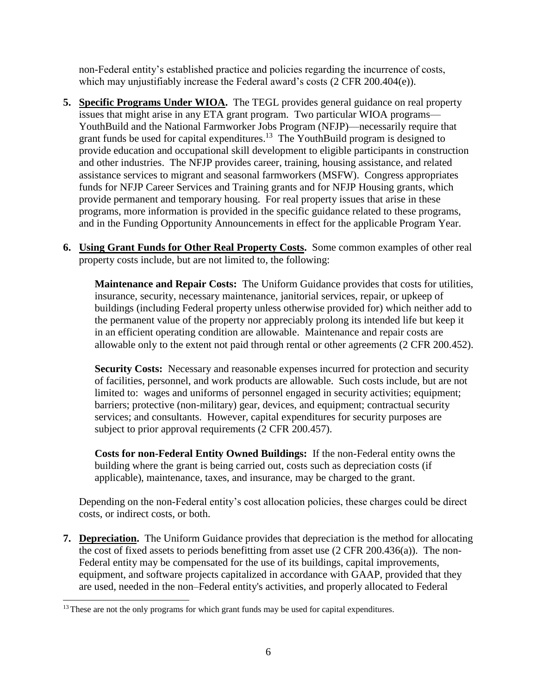non-Federal entity's established practice and policies regarding the incurrence of costs, which may unjustifiably increase the Federal award's costs (2 CFR 200.404(e)).

- **5. Specific Programs Under WIOA.** The TEGL provides general guidance on real property issues that might arise in any ETA grant program. Two particular WIOA programs— YouthBuild and the National Farmworker Jobs Program (NFJP)—necessarily require that grant funds be used for capital expenditures.<sup>13</sup> The YouthBuild program is designed to provide education and occupational skill development to eligible participants in construction and other industries. The NFJP provides career, training, housing assistance, and related assistance services to migrant and seasonal farmworkers (MSFW). Congress appropriates funds for NFJP Career Services and Training grants and for NFJP Housing grants, which provide permanent and temporary housing. For real property issues that arise in these programs, more information is provided in the specific guidance related to these programs, and in the Funding Opportunity Announcements in effect for the applicable Program Year.
- **6. Using Grant Funds for Other Real Property Costs.** Some common examples of other real property costs include, but are not limited to, the following:

**Maintenance and Repair Costs:** The Uniform Guidance provides that costs for utilities, insurance, security, necessary maintenance, janitorial services, repair, or upkeep of buildings (including Federal property unless otherwise provided for) which neither add to the permanent value of the property nor appreciably prolong its intended life but keep it in an efficient operating condition are allowable. Maintenance and repair costs are allowable only to the extent not paid through rental or other agreements (2 CFR 200.452).

**Security Costs:** Necessary and reasonable expenses incurred for protection and security of facilities, personnel, and work products are allowable. Such costs include, but are not limited to: wages and uniforms of personnel engaged in security activities; equipment; barriers; protective (non-military) gear, devices, and equipment; contractual security services; and consultants. However, capital expenditures for security purposes are subject to prior approval requirements (2 CFR 200.457).

**Costs for non-Federal Entity Owned Buildings:** If the non-Federal entity owns the building where the grant is being carried out, costs such as depreciation costs (if applicable), maintenance, taxes, and insurance, may be charged to the grant.

Depending on the non-Federal entity's cost allocation policies, these charges could be direct costs, or indirect costs, or both.

**7. Depreciation.** The Uniform Guidance provides that depreciation is the method for allocating the cost of fixed assets to periods benefitting from asset use (2 CFR 200.436(a)). The non-Federal entity may be compensated for the use of its buildings, capital improvements, equipment, and software projects capitalized in accordance with GAAP, provided that they are used, needed in the non–Federal entity's activities, and properly allocated to Federal

<sup>&</sup>lt;sup>13</sup> These are not the only programs for which grant funds may be used for capital expenditures.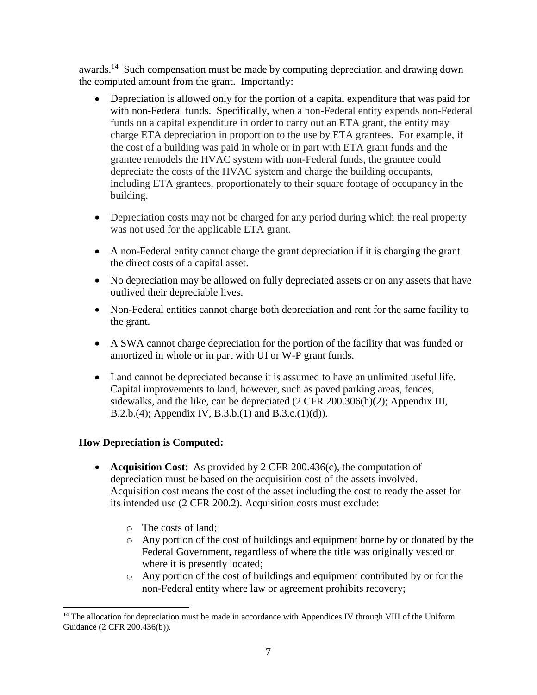awards.<sup>14</sup> Such compensation must be made by computing depreciation and drawing down the computed amount from the grant. Importantly:

- Depreciation is allowed only for the portion of a capital expenditure that was paid for with non-Federal funds. Specifically, when a non-Federal entity expends non-Federal funds on a capital expenditure in order to carry out an ETA grant, the entity may charge ETA depreciation in proportion to the use by ETA grantees. For example, if the cost of a building was paid in whole or in part with ETA grant funds and the grantee remodels the HVAC system with non-Federal funds, the grantee could depreciate the costs of the HVAC system and charge the building occupants, including ETA grantees, proportionately to their square footage of occupancy in the building.
- Depreciation costs may not be charged for any period during which the real property was not used for the applicable ETA grant.
- A non-Federal entity cannot charge the grant depreciation if it is charging the grant the direct costs of a capital asset.
- No depreciation may be allowed on fully depreciated assets or on any assets that have outlived their depreciable lives.
- Non-Federal entities cannot charge both depreciation and rent for the same facility to the grant.
- A SWA cannot charge depreciation for the portion of the facility that was funded or amortized in whole or in part with UI or W-P grant funds.
- Land cannot be depreciated because it is assumed to have an unlimited useful life. Capital improvements to land, however, such as paved parking areas, fences, sidewalks, and the like, can be depreciated (2 CFR 200.306(h)(2); Appendix III, B.2.b.(4); Appendix IV, B.3.b.(1) and B.3.c.(1)(d)).

### **How Depreciation is Computed:**

÷,

- **Acquisition Cost**: As provided by 2 CFR 200.436(c), the computation of depreciation must be based on the acquisition cost of the assets involved. Acquisition cost means the cost of the asset including the cost to ready the asset for its intended use (2 CFR 200.2). Acquisition costs must exclude:
	- o The costs of land;
	- o Any portion of the cost of buildings and equipment borne by or donated by the Federal Government, regardless of where the title was originally vested or where it is presently located;
	- o Any portion of the cost of buildings and equipment contributed by or for the non-Federal entity where law or agreement prohibits recovery;

<sup>&</sup>lt;sup>14</sup> The allocation for depreciation must be made in accordance with Appendices IV through VIII of the Uniform Guidance (2 CFR 200.436(b)).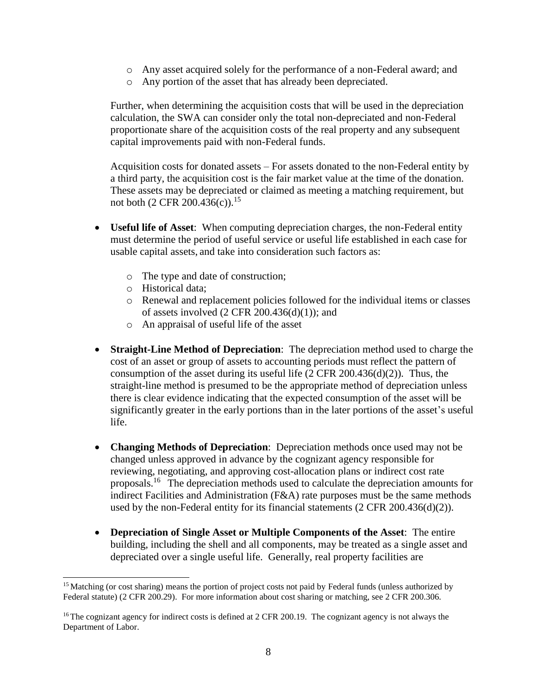- o Any asset acquired solely for the performance of a non-Federal award; and
- o Any portion of the asset that has already been depreciated.

Further, when determining the acquisition costs that will be used in the depreciation calculation, the SWA can consider only the total non-depreciated and non-Federal proportionate share of the acquisition costs of the real property and any subsequent capital improvements paid with non-Federal funds.

Acquisition costs for donated assets – For assets donated to the non-Federal entity by a third party, the acquisition cost is the fair market value at the time of the donation. These assets may be depreciated or claimed as meeting a matching requirement, but not both  $(2 \text{ CFR } 200.436(c))$ .<sup>15</sup>

- **Useful life of Asset**: When computing depreciation charges, the non-Federal entity must determine the period of useful service or useful life established in each case for usable capital assets, and take into consideration such factors as:
	- o The type and date of construction;
	- o Historical data;

- o Renewal and replacement policies followed for the individual items or classes of assets involved  $(2 \text{ CFR } 200.436(d)(1))$ ; and
- o An appraisal of useful life of the asset
- **Straight-Line Method of Depreciation**: The depreciation method used to charge the cost of an asset or group of assets to accounting periods must reflect the pattern of consumption of the asset during its useful life  $(2 \text{ CFR } 200.436(d)(2))$ . Thus, the straight-line method is presumed to be the appropriate method of depreciation unless there is clear evidence indicating that the expected consumption of the asset will be significantly greater in the early portions than in the later portions of the asset's useful life.
- **Changing Methods of Depreciation**: Depreciation methods once used may not be changed unless approved in advance by the cognizant agency responsible for reviewing, negotiating, and approving cost-allocation plans or indirect cost rate proposals.<sup>16</sup> The depreciation methods used to calculate the depreciation amounts for indirect Facilities and Administration (F&A) rate purposes must be the same methods used by the non-Federal entity for its financial statements (2 CFR 200.436(d)(2)).
- **Depreciation of Single Asset or Multiple Components of the Asset**: The entire building, including the shell and all components, may be treated as a single asset and depreciated over a single useful life. Generally, real property facilities are

<sup>&</sup>lt;sup>15</sup> Matching (or cost sharing) means the portion of project costs not paid by Federal funds (unless authorized by Federal statute) (2 CFR 200.29). For more information about cost sharing or matching, see 2 CFR 200.306.

<sup>&</sup>lt;sup>16</sup> The cognizant agency for indirect costs is defined at 2 CFR 200.19. The cognizant agency is not always the Department of Labor.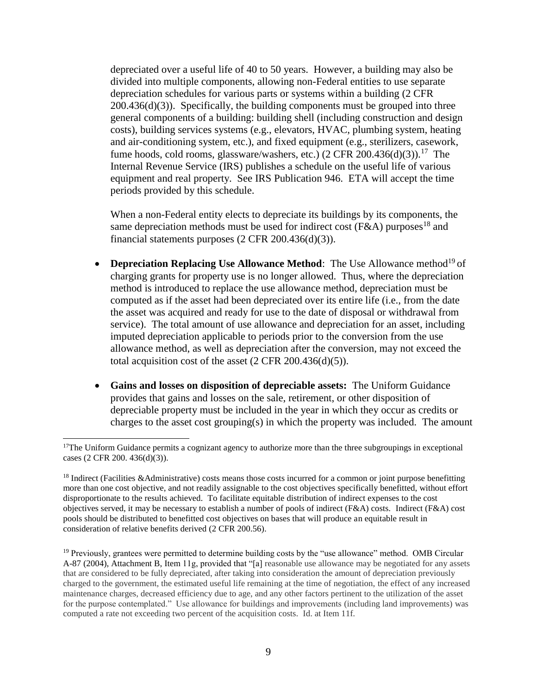depreciated over a useful life of 40 to 50 years. However, a building may also be divided into multiple components, allowing non-Federal entities to use separate depreciation schedules for various parts or systems within a building (2 CFR  $200.436(d)(3)$ . Specifically, the building components must be grouped into three general components of a building: building shell (including construction and design costs), building services systems (e.g., elevators, HVAC, plumbing system, heating and air-conditioning system, etc.), and fixed equipment (e.g., sterilizers, casework, fume hoods, cold rooms, glassware/washers, etc.)  $(2 \text{ CFR } 200.436(d)(3))$ .<sup>17</sup> The Internal Revenue Service (IRS) publishes a schedule on the useful life of various equipment and real property. See IRS Publication 946. ETA will accept the time periods provided by this schedule.

When a non-Federal entity elects to depreciate its buildings by its components, the same depreciation methods must be used for indirect cost ( $F&A$ ) purposes<sup>18</sup> and financial statements purposes (2 CFR 200.436(d)(3)).

- Depreciation Replacing Use Allowance Method: The Use Allowance method<sup>19</sup> of charging grants for property use is no longer allowed. Thus, where the depreciation method is introduced to replace the use allowance method, depreciation must be computed as if the asset had been depreciated over its entire life (i.e., from the date the asset was acquired and ready for use to the date of disposal or withdrawal from service). The total amount of use allowance and depreciation for an asset, including imputed depreciation applicable to periods prior to the conversion from the use allowance method, as well as depreciation after the conversion, may not exceed the total acquisition cost of the asset  $(2 \text{ CFR } 200.436(d)(5))$ .
- **Gains and losses on disposition of depreciable assets:** The Uniform Guidance provides that gains and losses on the sale, retirement, or other disposition of depreciable property must be included in the year in which they occur as credits or charges to the asset cost grouping(s) in which the property was included. The amount

÷,

<sup>&</sup>lt;sup>17</sup>The Uniform Guidance permits a cognizant agency to authorize more than the three subgroupings in exceptional cases (2 CFR 200. 436(d)(3)).

<sup>&</sup>lt;sup>18</sup> Indirect (Facilities &Administrative) costs means those costs incurred for a common or joint purpose benefitting more than one cost objective, and not readily assignable to the cost objectives specifically benefitted, without effort disproportionate to the results achieved. To facilitate equitable distribution of indirect expenses to the cost objectives served, it may be necessary to establish a number of pools of indirect (F&A) costs. Indirect (F&A) cost pools should be distributed to benefitted cost objectives on bases that will produce an equitable result in consideration of relative benefits derived (2 CFR 200.56).

<sup>&</sup>lt;sup>19</sup> Previously, grantees were permitted to determine building costs by the "use allowance" method. OMB Circular A-87 (2004), Attachment B, Item 11g, provided that "[a] reasonable use allowance may be negotiated for any assets that are considered to be fully depreciated, after taking into consideration the amount of depreciation previously charged to the government, the estimated useful life remaining at the time of negotiation, the effect of any increased maintenance charges, decreased efficiency due to age, and any other factors pertinent to the utilization of the asset for the purpose contemplated." Use allowance for buildings and improvements (including land improvements) was computed a rate not exceeding two percent of the acquisition costs. Id. at Item 11f.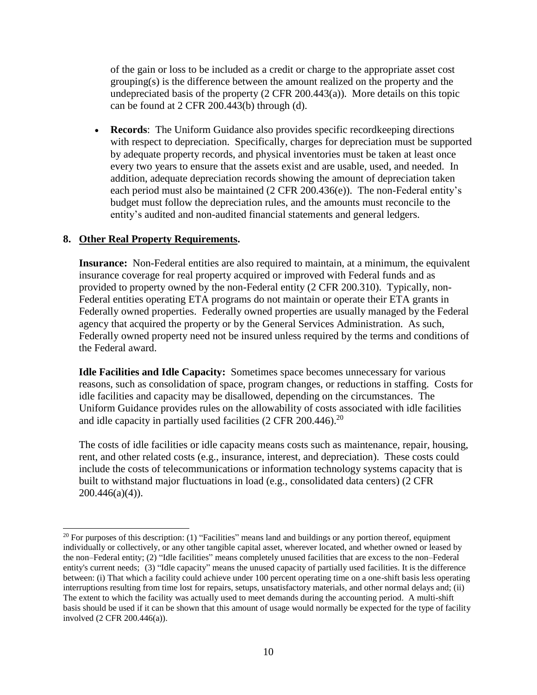of the gain or loss to be included as a credit or charge to the appropriate asset cost grouping(s) is the difference between the amount realized on the property and the undepreciated basis of the property (2 CFR 200.443(a)). More details on this topic can be found at 2 CFR 200.443(b) through (d).

 **Records**: The Uniform Guidance also provides specific recordkeeping directions with respect to depreciation. Specifically, charges for depreciation must be supported by adequate property records, and physical inventories must be taken at least once every two years to ensure that the assets exist and are usable, used, and needed. In addition, adequate depreciation records showing the amount of depreciation taken each period must also be maintained (2 CFR 200.436(e)). The non-Federal entity's budget must follow the depreciation rules, and the amounts must reconcile to the entity's audited and non-audited financial statements and general ledgers.

#### **8. Other Real Property Requirements.**

**Insurance:** Non-Federal entities are also required to maintain, at a minimum, the equivalent insurance coverage for real property acquired or improved with Federal funds and as provided to property owned by the non-Federal entity (2 CFR 200.310). Typically, non-Federal entities operating ETA programs do not maintain or operate their ETA grants in Federally owned properties. Federally owned properties are usually managed by the Federal agency that acquired the property or by the General Services Administration. As such, Federally owned property need not be insured unless required by the terms and conditions of the Federal award.

**Idle Facilities and Idle Capacity:** Sometimes space becomes unnecessary for various reasons, such as consolidation of space, program changes, or reductions in staffing. Costs for idle facilities and capacity may be disallowed, depending on the circumstances. The Uniform Guidance provides rules on the allowability of costs associated with idle facilities and idle capacity in partially used facilities  $(2 \text{ CFR } 200.446).^{20}$ 

The costs of idle facilities or idle capacity means costs such as maintenance, repair, housing, rent, and other related costs (e.g., insurance, interest, and depreciation). These costs could include the costs of telecommunications or information technology systems capacity that is built to withstand major fluctuations in load (e.g., consolidated data centers) (2 CFR  $200.446(a)(4)$ ).

<sup>÷,</sup>  $20$  For purposes of this description: (1) "Facilities" means land and buildings or any portion thereof, equipment individually or collectively, or any other tangible capital asset, wherever located, and whether owned or leased by the non–Federal entity; (2) "Idle facilities" means completely unused facilities that are excess to the non–Federal entity's current needs; (3) "Idle capacity" means the unused capacity of partially used facilities. It is the difference between: (i) That which a facility could achieve under 100 percent operating time on a one-shift basis less operating interruptions resulting from time lost for repairs, setups, unsatisfactory materials, and other normal delays and; (ii) The extent to which the facility was actually used to meet demands during the accounting period. A multi-shift basis should be used if it can be shown that this amount of usage would normally be expected for the type of facility involved (2 CFR 200.446(a)).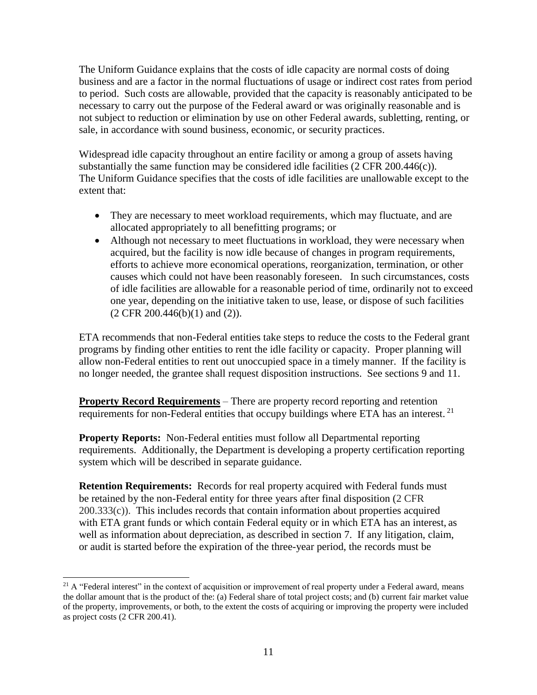The Uniform Guidance explains that the costs of idle capacity are normal costs of doing business and are a factor in the normal fluctuations of usage or indirect cost rates from period to period. Such costs are allowable, provided that the capacity is reasonably anticipated to be necessary to carry out the purpose of the Federal award or was originally reasonable and is not subject to reduction or elimination by use on other Federal awards, subletting, renting, or sale, in accordance with sound business, economic, or security practices.

Widespread idle capacity throughout an entire facility or among a group of assets having substantially the same function may be considered idle facilities  $(2 \text{ CFR } 200.446(c))$ . The Uniform Guidance specifies that the costs of idle facilities are unallowable except to the extent that:

- They are necessary to meet workload requirements, which may fluctuate, and are allocated appropriately to all benefitting programs; or
- Although not necessary to meet fluctuations in workload, they were necessary when acquired, but the facility is now idle because of changes in program requirements, efforts to achieve more economical operations, reorganization, termination, or other causes which could not have been reasonably foreseen. In such circumstances, costs of idle facilities are allowable for a reasonable period of time, ordinarily not to exceed one year, depending on the initiative taken to use, lease, or dispose of such facilities (2 CFR 200.446(b)(1) and (2)).

ETA recommends that non-Federal entities take steps to reduce the costs to the Federal grant programs by finding other entities to rent the idle facility or capacity. Proper planning will allow non-Federal entities to rent out unoccupied space in a timely manner. If the facility is no longer needed, the grantee shall request disposition instructions. See sections 9 and 11.

**Property Record Requirements** – There are property record reporting and retention requirements for non-Federal entities that occupy buildings where ETA has an interest.<sup>21</sup>

**Property Reports:** Non-Federal entities must follow all Departmental reporting requirements. Additionally, the Department is developing a property certification reporting system which will be described in separate guidance.

**Retention Requirements:** Records for real property acquired with Federal funds must be retained by the non-Federal entity for three years after final disposition (2 CFR  $200.333(c)$ . This includes records that contain information about properties acquired with ETA grant funds or which contain Federal equity or in which ETA has an interest, as well as information about depreciation, as described in section 7. If any litigation, claim, or audit is started before the expiration of the three-year period, the records must be

i<br>L  $2<sup>1</sup>$  A "Federal interest" in the context of acquisition or improvement of real property under a Federal award, means the dollar amount that is the product of the: (a) Federal share of total project costs; and (b) current fair market value of the property, improvements, or both, to the extent the costs of acquiring or improving the property were included as project costs (2 CFR 200.41).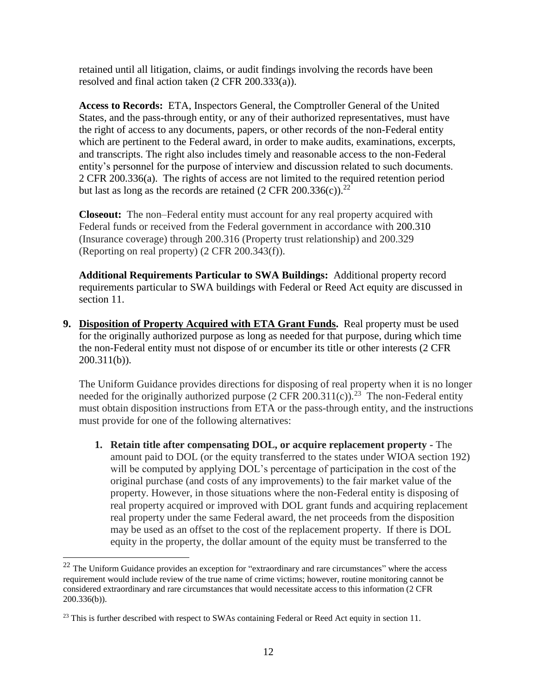retained until all litigation, claims, or audit findings involving the records have been resolved and final action taken (2 CFR 200.333(a)).

**Access to Records:** ETA, Inspectors General, the Comptroller General of the United States, and the pass-through entity, or any of their authorized representatives, must have the right of access to any documents, papers, or other records of the non-Federal entity which are pertinent to the Federal award, in order to make audits, examinations, excerpts, and transcripts. The right also includes timely and reasonable access to the non-Federal entity's personnel for the purpose of interview and discussion related to such documents. 2 CFR 200.336(a). The rights of access are not limited to the required retention period but last as long as the records are retained  $(2 \text{ CFR } 200.336(c))$ .<sup>22</sup>

**Closeout:** The non–Federal entity must account for any real property acquired with Federal funds or received from the Federal government in accordance with [200.310](https://1.next.westlaw.com/Link/Document/FullText?findType=L&pubNum=1000547&cite=2CFRS200.310&originatingDoc=N88A4E5408A8C11E4ADECF9649E758D83&refType=VP&originationContext=document&transitionType=DocumentItem&contextData=(sc.UserEnteredCitation)) (Insurance coverage) through 200.316 (Property trust relationship) and 200.329 (Reporting on real property) (2 CFR 200.343(f)).

**Additional Requirements Particular to SWA Buildings:** Additional property record requirements particular to SWA buildings with Federal or Reed Act equity are discussed in section 11.

**9. Disposition of Property Acquired with ETA Grant Funds.** Real property must be used for the originally authorized purpose as long as needed for that purpose, during which time the non-Federal entity must not dispose of or encumber its title or other interests (2 CFR 200.311(b)).

The Uniform Guidance provides directions for disposing of real property when it is no longer needed for the originally authorized purpose  $(2 \text{ CFR } 200.311(c))$ .<sup>23</sup> The non-Federal entity must obtain disposition instructions from ETA or the pass-through entity, and the instructions must provide for one of the following alternatives:

**1. Retain title after compensating DOL, or acquire replacement property -** The amount paid to DOL (or the equity transferred to the states under WIOA section 192) will be computed by applying DOL's percentage of participation in the cost of the original purchase (and costs of any improvements) to the fair market value of the property. However, in those situations where the non-Federal entity is disposing of real property acquired or improved with DOL grant funds and acquiring replacement real property under the same Federal award, the net proceeds from the disposition may be used as an offset to the cost of the replacement property. If there is DOL equity in the property, the dollar amount of the equity must be transferred to the

÷,

 $22$  The Uniform Guidance provides an exception for "extraordinary and rare circumstances" where the access requirement would include review of the true name of crime victims; however, routine monitoring cannot be considered extraordinary and rare circumstances that would necessitate access to this information (2 CFR 200.336(b)).

<sup>&</sup>lt;sup>23</sup> This is further described with respect to SWAs containing Federal or Reed Act equity in section 11.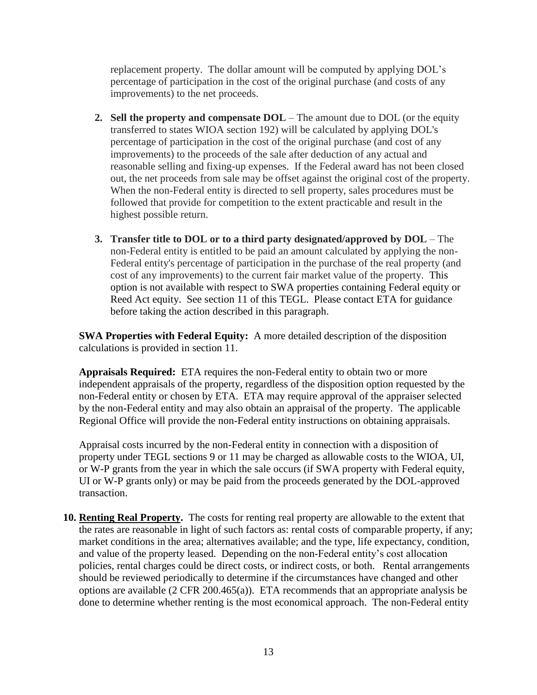replacement property. The dollar amount will be computed by applying DOL's percentage of participation in the cost of the original purchase (and costs of any improvements) to the net proceeds.

- **2. Sell the property and compensate DOL** The amount due to DOL (or the equity transferred to states WIOA section 192) will be calculated by applying DOL's percentage of participation in the cost of the original purchase (and cost of any improvements) to the proceeds of the sale after deduction of any actual and reasonable selling and fixing-up expenses. If the Federal award has not been closed out, the net proceeds from sale may be offset against the original cost of the property. When the non-Federal entity is directed to sell property, sales procedures must be followed that provide for competition to the extent practicable and result in the highest possible return.
- **3. Transfer title to DOL or to a third party designated/approved by DOL** The non-Federal entity is entitled to be paid an amount calculated by applying the non-Federal entity's percentage of participation in the purchase of the real property (and cost of any improvements) to the current fair market value of the property. This option is not available with respect to SWA properties containing Federal equity or Reed Act equity. See section 11 of this TEGL. Please contact ETA for guidance before taking the action described in this paragraph.

**SWA Properties with Federal Equity:** A more detailed description of the disposition calculations is provided in section 11.

**Appraisals Required:** ETA requires the non-Federal entity to obtain two or more independent appraisals of the property, regardless of the disposition option requested by the non-Federal entity or chosen by ETA. ETA may require approval of the appraiser selected by the non-Federal entity and may also obtain an appraisal of the property. The applicable Regional Office will provide the non-Federal entity instructions on obtaining appraisals.

Appraisal costs incurred by the non-Federal entity in connection with a disposition of property under TEGL sections 9 or 11 may be charged as allowable costs to the WIOA, UI, or W-P grants from the year in which the sale occurs (if SWA property with Federal equity, UI or W-P grants only) or may be paid from the proceeds generated by the DOL-approved transaction.

**10. Renting Real Property.** The costs for renting real property are allowable to the extent that the rates are reasonable in light of such factors as: rental costs of comparable property, if any; market conditions in the area; alternatives available; and the type, life expectancy, condition, and value of the property leased. Depending on the non-Federal entity's cost allocation policies, rental charges could be direct costs, or indirect costs, or both. Rental arrangements should be reviewed periodically to determine if the circumstances have changed and other options are available (2 CFR 200.465(a)). ETA recommends that an appropriate analysis be done to determine whether renting is the most economical approach. The non-Federal entity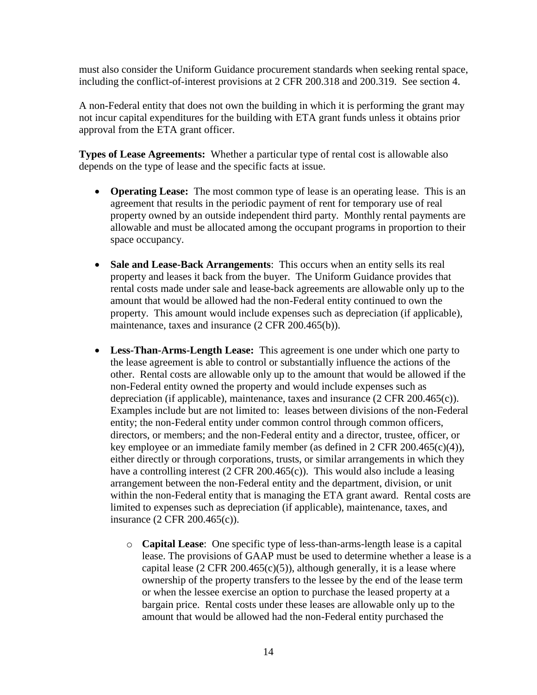must also consider the Uniform Guidance procurement standards when seeking rental space, including the conflict-of-interest provisions at 2 CFR 200.318 and 200.319. See section 4.

A non-Federal entity that does not own the building in which it is performing the grant may not incur capital expenditures for the building with ETA grant funds unless it obtains prior approval from the ETA grant officer.

**Types of Lease Agreements:** Whether a particular type of rental cost is allowable also depends on the type of lease and the specific facts at issue.

- **Operating Lease:** The most common type of lease is an operating lease. This is an agreement that results in the periodic payment of rent for temporary use of real property owned by an outside independent third party. Monthly rental payments are allowable and must be allocated among the occupant programs in proportion to their space occupancy.
- Sale and Lease-Back Arrangements: This occurs when an entity sells its real property and leases it back from the buyer. The Uniform Guidance provides that rental costs made under sale and lease-back agreements are allowable only up to the amount that would be allowed had the non-Federal entity continued to own the property. This amount would include expenses such as depreciation (if applicable), maintenance, taxes and insurance (2 CFR 200.465(b)).
- **Less-Than-Arms-Length Lease:** This agreement is one under which one party to the lease agreement is able to control or substantially influence the actions of the other. Rental costs are allowable only up to the amount that would be allowed if the non-Federal entity owned the property and would include expenses such as depreciation (if applicable), maintenance, taxes and insurance (2 CFR 200.465(c)). Examples include but are not limited to: leases between divisions of the non-Federal entity; the non-Federal entity under common control through common officers, directors, or members; and the non-Federal entity and a director, trustee, officer, or key employee or an immediate family member (as defined in 2 CFR 200.465(c)(4)), either directly or through corporations, trusts, or similar arrangements in which they have a controlling interest (2 CFR 200.465(c)). This would also include a leasing arrangement between the non-Federal entity and the department, division, or unit within the non-Federal entity that is managing the ETA grant award. Rental costs are limited to expenses such as depreciation (if applicable), maintenance, taxes, and insurance (2 CFR 200.465(c)).
	- o **Capital Lease**: One specific type of less-than-arms-length lease is a capital lease. The provisions of GAAP must be used to determine whether a lease is a capital lease (2 CFR 200.465 $(c)(5)$ ), although generally, it is a lease where ownership of the property transfers to the lessee by the end of the lease term or when the lessee exercise an option to purchase the leased property at a bargain price. Rental costs under these leases are allowable only up to the amount that would be allowed had the non-Federal entity purchased the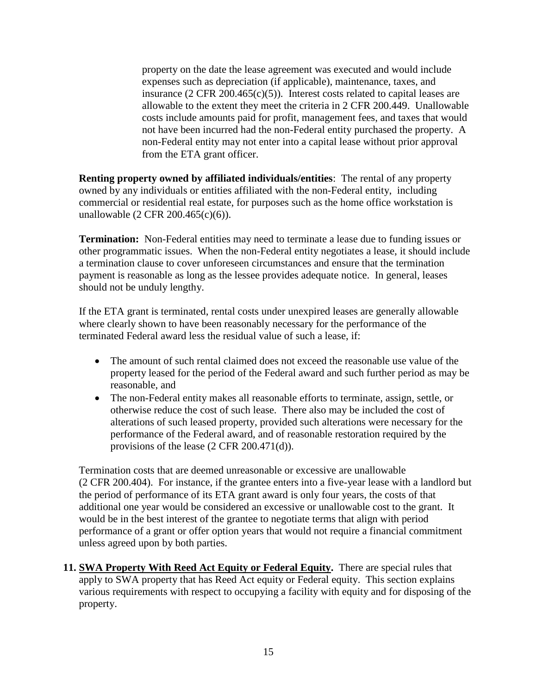property on the date the lease agreement was executed and would include expenses such as depreciation (if applicable), maintenance, taxes, and insurance  $(2 \text{ CFR } 200.465(c)(5))$ . Interest costs related to capital leases are allowable to the extent they meet the criteria in 2 CFR 200.449. Unallowable costs include amounts paid for profit, management fees, and taxes that would not have been incurred had the non-Federal entity purchased the property. A non-Federal entity may not enter into a capital lease without prior approval from the ETA grant officer.

**Renting property owned by affiliated individuals/entities**: The rental of any property owned by any individuals or entities affiliated with the non-Federal entity, including commercial or residential real estate, for purposes such as the home office workstation is unallowable (2 CFR 200.465(c)(6)).

**Termination:** Non-Federal entities may need to terminate a lease due to funding issues or other programmatic issues. When the non-Federal entity negotiates a lease, it should include a termination clause to cover unforeseen circumstances and ensure that the termination payment is reasonable as long as the lessee provides adequate notice. In general, leases should not be unduly lengthy.

If the ETA grant is terminated, rental costs under unexpired leases are generally allowable where clearly shown to have been reasonably necessary for the performance of the terminated Federal award less the residual value of such a lease, if:

- The amount of such rental claimed does not exceed the reasonable use value of the property leased for the period of the Federal award and such further period as may be reasonable, and
- The non-Federal entity makes all reasonable efforts to terminate, assign, settle, or otherwise reduce the cost of such lease. There also may be included the cost of alterations of such leased property, provided such alterations were necessary for the performance of the Federal award, and of reasonable restoration required by the provisions of the lease (2 CFR 200.471(d)).

Termination costs that are deemed unreasonable or excessive are unallowable (2 CFR 200.404). For instance, if the grantee enters into a five-year lease with a landlord but the period of performance of its ETA grant award is only four years, the costs of that additional one year would be considered an excessive or unallowable cost to the grant. It would be in the best interest of the grantee to negotiate terms that align with period performance of a grant or offer option years that would not require a financial commitment unless agreed upon by both parties.

**11. SWA Property With Reed Act Equity or Federal Equity.** There are special rules that apply to SWA property that has Reed Act equity or Federal equity. This section explains various requirements with respect to occupying a facility with equity and for disposing of the property.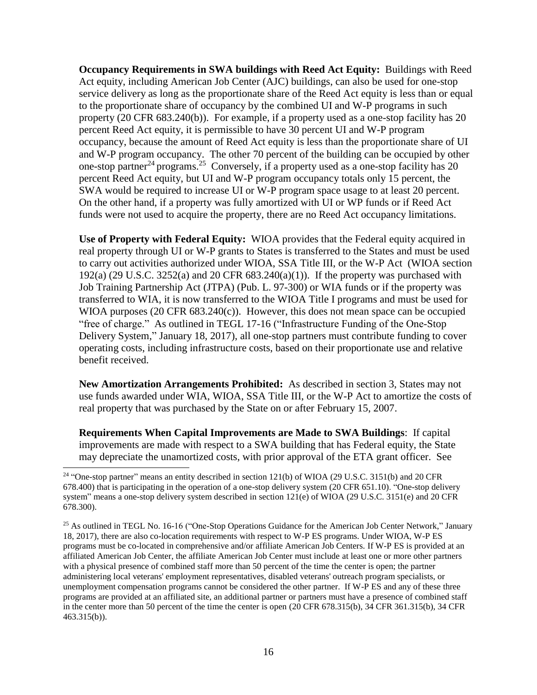**Occupancy Requirements in SWA buildings with Reed Act Equity:** Buildings with Reed Act equity, including American Job Center (AJC) buildings, can also be used for one-stop service delivery as long as the proportionate share of the Reed Act equity is less than or equal to the proportionate share of occupancy by the combined UI and W-P programs in such property (20 CFR 683.240(b)). For example, if a property used as a one-stop facility has 20 percent Reed Act equity, it is permissible to have 30 percent UI and W-P program occupancy, because the amount of Reed Act equity is less than the proportionate share of UI and W-P program occupancy. The other 70 percent of the building can be occupied by other one-stop partner<sup>24</sup> programs.<sup>25</sup> Conversely, if a property used as a one-stop facility has 20 percent Reed Act equity, but UI and W-P program occupancy totals only 15 percent, the SWA would be required to increase UI or W-P program space usage to at least 20 percent. On the other hand, if a property was fully amortized with UI or WP funds or if Reed Act funds were not used to acquire the property, there are no Reed Act occupancy limitations.

**Use of Property with Federal Equity:** WIOA provides that the Federal equity acquired in real property through UI or W-P grants to States is transferred to the States and must be used to carry out activities authorized under WIOA, SSA Title III, or the W-P Act (WIOA section 192(a) (29 U.S.C. 3252(a) and 20 CFR  $683.240(a)(1)$ ). If the property was purchased with Job Training Partnership Act (JTPA) (Pub. L. 97-300) or WIA funds or if the property was transferred to WIA, it is now transferred to the WIOA Title I programs and must be used for WIOA purposes (20 CFR 683.240(c)). However, this does not mean space can be occupied "free of charge." As outlined in TEGL 17-16 ("Infrastructure Funding of the One-Stop Delivery System," January 18, 2017), all one-stop partners must contribute funding to cover operating costs, including infrastructure costs, based on their proportionate use and relative benefit received.

**New Amortization Arrangements Prohibited:** As described in section 3, States may not use funds awarded under WIA, WIOA, SSA Title III, or the W-P Act to amortize the costs of real property that was purchased by the State on or after February 15, 2007.

**Requirements When Capital Improvements are Made to SWA Buildings**: If capital improvements are made with respect to a SWA building that has Federal equity, the State may depreciate the unamortized costs, with prior approval of the ETA grant officer. See

<sup>÷,</sup> <sup>24</sup> "One-stop partner" means an entity described in section 121(b) of WIOA (29 U.S.C. 3151(b) and 20 CFR 678.400) that is participating in the operation of a one-stop delivery system (20 CFR 651.10). "One-stop delivery system" means a one-stop delivery system described in section 121(e) of WIOA (29 U.S.C. 3151(e) and 20 CFR 678.300).

<sup>&</sup>lt;sup>25</sup> As outlined in TEGL No. 16-16 ("One-Stop Operations Guidance for the American Job Center Network," January 18, 2017), there are also co-location requirements with respect to W-P ES programs. Under WIOA, W-P ES programs must be co-located in comprehensive and/or affiliate American Job Centers. If W-P ES is provided at an affiliated American Job Center, the affiliate American Job Center must include at least one or more other partners with a physical presence of combined staff more than 50 percent of the time the center is open; the partner administering local veterans' employment representatives, disabled veterans' outreach program specialists, or unemployment compensation programs cannot be considered the other partner. If W-P ES and any of these three programs are provided at an affiliated site, an additional partner or partners must have a presence of combined staff in the center more than 50 percent of the time the center is open (20 CFR 678.315(b), 34 CFR 361.315(b), 34 CFR 463.315(b)).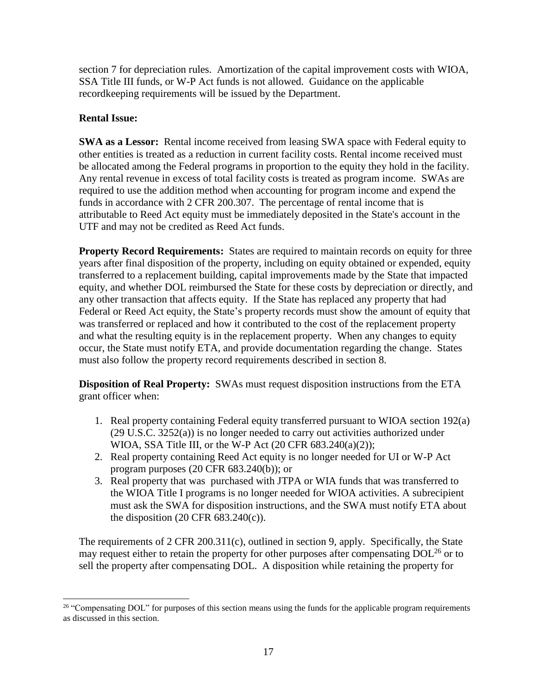section 7 for depreciation rules. Amortization of the capital improvement costs with WIOA, SSA Title III funds, or W-P Act funds is not allowed. Guidance on the applicable recordkeeping requirements will be issued by the Department.

# **Rental Issue:**

**SWA as a Lessor:** Rental income received from leasing SWA space with Federal equity to other entities is treated as a reduction in current facility costs. Rental income received must be allocated among the Federal programs in proportion to the equity they hold in the facility. Any rental revenue in excess of total facility costs is treated as program income. SWAs are required to use the addition method when accounting for program income and expend the funds in accordance with 2 CFR 200.307. The percentage of rental income that is attributable to Reed Act equity must be immediately deposited in the State's account in the UTF and may not be credited as Reed Act funds.

**Property Record Requirements:** States are required to maintain records on equity for three years after final disposition of the property, including on equity obtained or expended, equity transferred to a replacement building, capital improvements made by the State that impacted equity, and whether DOL reimbursed the State for these costs by depreciation or directly, and any other transaction that affects equity. If the State has replaced any property that had Federal or Reed Act equity, the State's property records must show the amount of equity that was transferred or replaced and how it contributed to the cost of the replacement property and what the resulting equity is in the replacement property. When any changes to equity occur, the State must notify ETA, and provide documentation regarding the change. States must also follow the property record requirements described in section 8.

**Disposition of Real Property:** SWAs must request disposition instructions from the ETA grant officer when:

- 1. Real property containing Federal equity transferred pursuant to WIOA section 192(a) (29 U.S.C. 3252(a)) is no longer needed to carry out activities authorized under WIOA, SSA Title III, or the W-P Act (20 CFR 683.240(a)(2));
- 2. Real property containing Reed Act equity is no longer needed for UI or W-P Act program purposes (20 CFR 683.240(b)); or
- 3. Real property that was purchased with JTPA or WIA funds that was transferred to the WIOA Title I programs is no longer needed for WIOA activities. A subrecipient must ask the SWA for disposition instructions, and the SWA must notify ETA about the disposition  $(20 \text{ CFR } 683.240(c))$ .

The requirements of 2 CFR 200.311(c), outlined in section 9, apply. Specifically, the State may request either to retain the property for other purposes after compensating  $DOL<sup>26</sup>$  or to sell the property after compensating DOL. A disposition while retaining the property for

i<br>L <sup>26</sup> "Compensating DOL" for purposes of this section means using the funds for the applicable program requirements as discussed in this section.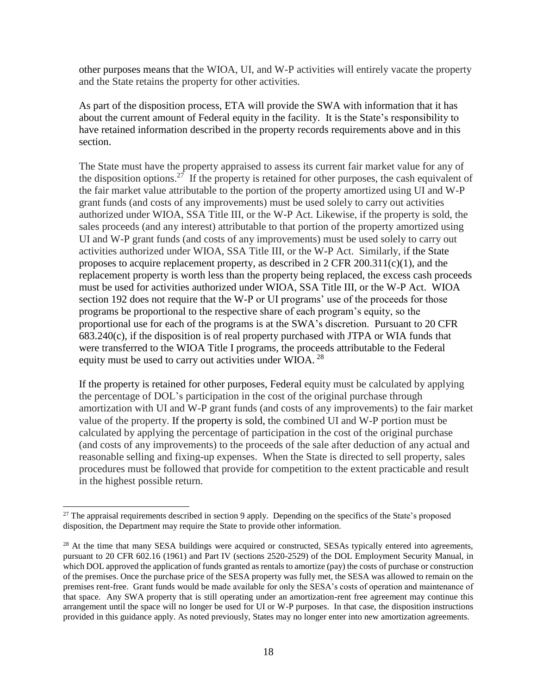other purposes means that the WIOA, UI, and W-P activities will entirely vacate the property and the State retains the property for other activities.

As part of the disposition process, ETA will provide the SWA with information that it has about the current amount of Federal equity in the facility. It is the State's responsibility to have retained information described in the property records requirements above and in this section.

The State must have the property appraised to assess its current fair market value for any of the disposition options.<sup>27</sup> If the property is retained for other purposes, the cash equivalent of the fair market value attributable to the portion of the property amortized using UI and W-P grant funds (and costs of any improvements) must be used solely to carry out activities authorized under WIOA, SSA Title III, or the W-P Act. Likewise, if the property is sold, the sales proceeds (and any interest) attributable to that portion of the property amortized using UI and W-P grant funds (and costs of any improvements) must be used solely to carry out activities authorized under WIOA, SSA Title III, or the W-P Act. Similarly, if the State proposes to acquire replacement property, as described in 2 CFR  $200.311(c)(1)$ , and the replacement property is worth less than the property being replaced, the excess cash proceeds must be used for activities authorized under WIOA, SSA Title III, or the W-P Act. WIOA section 192 does not require that the W-P or UI programs' use of the proceeds for those programs be proportional to the respective share of each program's equity, so the proportional use for each of the programs is at the SWA's discretion. Pursuant to 20 CFR 683.240(c), if the disposition is of real property purchased with JTPA or WIA funds that were transferred to the WIOA Title I programs, the proceeds attributable to the Federal equity must be used to carry out activities under WIOA.  $^{28}$ 

If the property is retained for other purposes, Federal equity must be calculated by applying the percentage of DOL's participation in the cost of the original purchase through amortization with UI and W-P grant funds (and costs of any improvements) to the fair market value of the property. If the property is sold, the combined UI and W-P portion must be calculated by applying the percentage of participation in the cost of the original purchase (and costs of any improvements) to the proceeds of the sale after deduction of any actual and reasonable selling and fixing-up expenses. When the State is directed to sell property, sales procedures must be followed that provide for competition to the extent practicable and result in the highest possible return.

<sup>&</sup>lt;sup>27</sup> The appraisal requirements described in section 9 apply. Depending on the specifics of the State's proposed disposition, the Department may require the State to provide other information.

<sup>&</sup>lt;sup>28</sup> At the time that many SESA buildings were acquired or constructed, SESAs typically entered into agreements, pursuant to 20 CFR 602.16 (1961) and Part IV (sections 2520-2529) of the DOL Employment Security Manual, in which DOL approved the application of funds granted as rentals to amortize (pay) the costs of purchase or construction of the premises. Once the purchase price of the SESA property was fully met, the SESA was allowed to remain on the premises rent-free. Grant funds would be made available for only the SESA's costs of operation and maintenance of that space. Any SWA property that is still operating under an amortization-rent free agreement may continue this arrangement until the space will no longer be used for UI or W-P purposes. In that case, the disposition instructions provided in this guidance apply. As noted previously, States may no longer enter into new amortization agreements.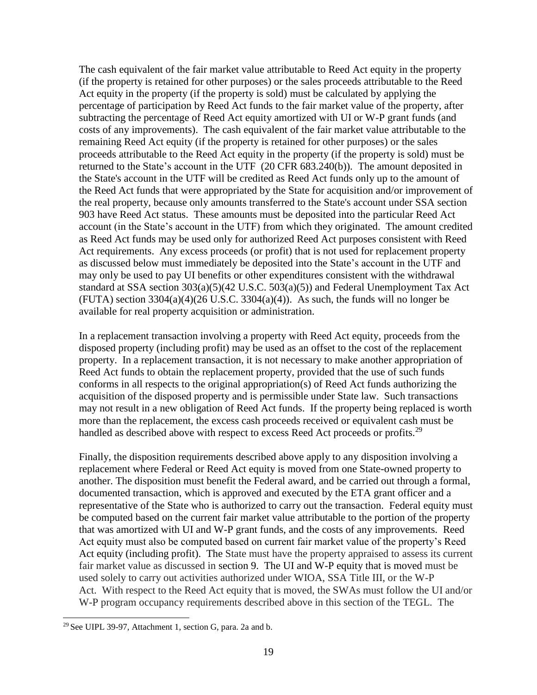The cash equivalent of the fair market value attributable to Reed Act equity in the property (if the property is retained for other purposes) or the sales proceeds attributable to the Reed Act equity in the property (if the property is sold) must be calculated by applying the percentage of participation by Reed Act funds to the fair market value of the property, after subtracting the percentage of Reed Act equity amortized with UI or W-P grant funds (and costs of any improvements). The cash equivalent of the fair market value attributable to the remaining Reed Act equity (if the property is retained for other purposes) or the sales proceeds attributable to the Reed Act equity in the property (if the property is sold) must be returned to the State's account in the UTF (20 CFR 683.240(b)). The amount deposited in the State's account in the UTF will be credited as Reed Act funds only up to the amount of the Reed Act funds that were appropriated by the State for acquisition and/or improvement of the real property, because only amounts transferred to the State's account under SSA section 903 have Reed Act status. These amounts must be deposited into the particular Reed Act account (in the State's account in the UTF) from which they originated. The amount credited as Reed Act funds may be used only for authorized Reed Act purposes consistent with Reed Act requirements. Any excess proceeds (or profit) that is not used for replacement property as discussed below must immediately be deposited into the State's account in the UTF and may only be used to pay UI benefits or other expenditures consistent with the withdrawal standard at SSA section 303(a)(5)(42 U.S.C. 503(a)(5)) and Federal Unemployment Tax Act (FUTA) section  $3304(a)(4)(26 \text{ U.S.C. } 3304(a)(4))$ . As such, the funds will no longer be available for real property acquisition or administration.

In a replacement transaction involving a property with Reed Act equity, proceeds from the disposed property (including profit) may be used as an offset to the cost of the replacement property. In a replacement transaction, it is not necessary to make another appropriation of Reed Act funds to obtain the replacement property, provided that the use of such funds conforms in all respects to the original appropriation(s) of Reed Act funds authorizing the acquisition of the disposed property and is permissible under State law. Such transactions may not result in a new obligation of Reed Act funds. If the property being replaced is worth more than the replacement, the excess cash proceeds received or equivalent cash must be handled as described above with respect to excess Reed Act proceeds or profits.<sup>29</sup>

Finally, the disposition requirements described above apply to any disposition involving a replacement where Federal or Reed Act equity is moved from one State-owned property to another. The disposition must benefit the Federal award, and be carried out through a formal, documented transaction, which is approved and executed by the ETA grant officer and a representative of the State who is authorized to carry out the transaction. Federal equity must be computed based on the current fair market value attributable to the portion of the property that was amortized with UI and W-P grant funds, and the costs of any improvements. Reed Act equity must also be computed based on current fair market value of the property's Reed Act equity (including profit). The State must have the property appraised to assess its current fair market value as discussed in section 9. The UI and W-P equity that is moved must be used solely to carry out activities authorized under WIOA, SSA Title III, or the W-P Act. With respect to the Reed Act equity that is moved, the SWAs must follow the UI and/or W-P program occupancy requirements described above in this section of the TEGL. The

<sup>÷,</sup> <sup>29</sup> See UIPL 39-97, Attachment 1, section G, para. 2a and b.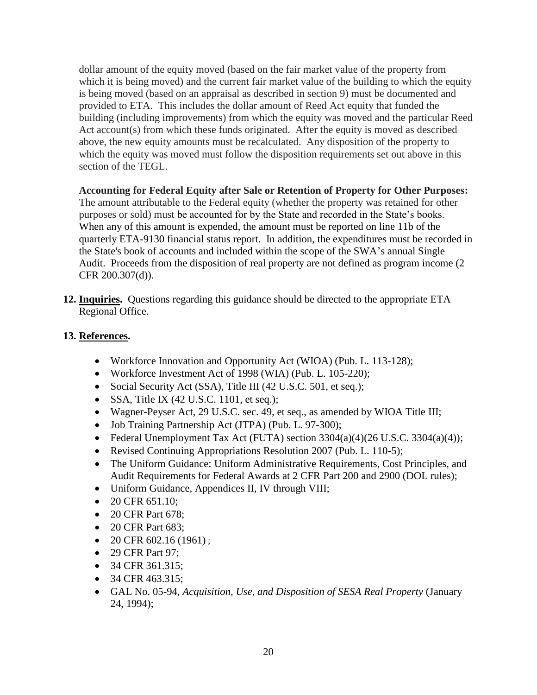dollar amount of the equity moved (based on the fair market value of the property from which it is being moved) and the current fair market value of the building to which the equity is being moved (based on an appraisal as described in section 9) must be documented and provided to ETA. This includes the dollar amount of Reed Act equity that funded the building (including improvements) from which the equity was moved and the particular Reed Act account(s) from which these funds originated. After the equity is moved as described above, the new equity amounts must be recalculated. Any disposition of the property to which the equity was moved must follow the disposition requirements set out above in this section of the TEGL.

**Accounting for Federal Equity after Sale or Retention of Property for Other Purposes:** 

The amount attributable to the Federal equity (whether the property was retained for other purposes or sold) must be accounted for by the State and recorded in the State's books. When any of this amount is expended, the amount must be reported on line 11b of the quarterly ETA-9130 financial status report. In addition, the expenditures must be recorded in the State's book of accounts and included within the scope of the SWA's annual Single Audit. Proceeds from the disposition of real property are not defined as program income (2 CFR 200.307(d)).

**12. Inquiries.** Questions regarding this guidance should be directed to the appropriate ETA Regional Office.

# **13. References.**

- Workforce Innovation and Opportunity Act (WIOA) (Pub. L. 113-128);
- Workforce Investment Act of 1998 (WIA) (Pub. L. 105-220);
- Social Security Act (SSA), Title III (42 U.S.C. 501, et seq.);
- SSA, Title IX  $(42 \text{ U.S.C. } 1101, \text{ et seq.});$
- Wagner-Peyser Act, 29 U.S.C. sec. 49, et seq., as amended by WIOA Title III;
- Job Training Partnership Act (JTPA) (Pub. L. 97-300);
- Federal Unemployment Tax Act (FUTA) section  $3304(a)(4)(26$  U.S.C.  $3304(a)(4)$ ;
- Revised Continuing Appropriations Resolution 2007 (Pub. L. 110-5);
- The Uniform Guidance: Uniform Administrative Requirements, Cost Principles, and Audit Requirements for Federal Awards at 2 CFR Part 200 and 2900 (DOL rules);
- Uniform Guidance, Appendices II, IV through VIII;
- $\bullet$  20 CFR 651.10;
- 20 CFR Part 678:
- 20 CFR Part 683;
- $\bullet$  20 CFR 602.16 (1961);
- 29 CFR Part 97;
- $\bullet$  34 CFR 361.315:
- $\bullet$  34 CFR 463.315;
- GAL No. 05-94, *Acquisition, Use, and Disposition of SESA Real Property* (January 24, 1994);